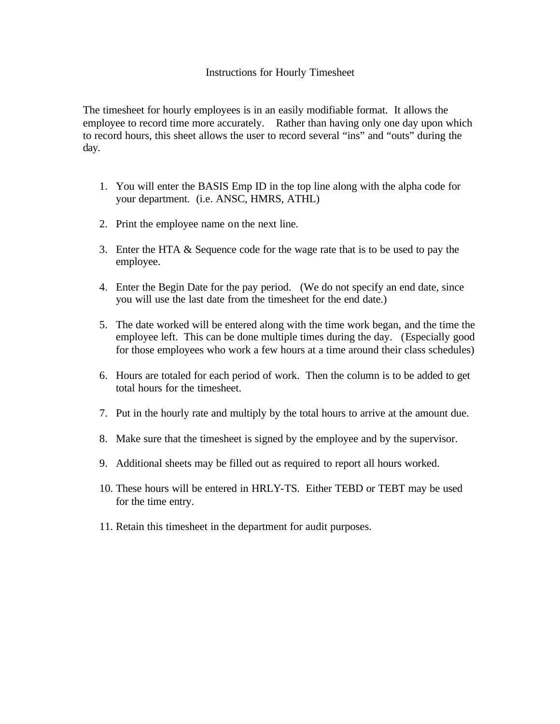## Instructions for Hourly Timesheet

The timesheet for hourly employees is in an easily modifiable format. It allows the employee to record time more accurately. Rather than having only one day upon which to record hours, this sheet allows the user to record several "ins" and "outs" during the day.

- 1. You will enter the BASIS Emp ID in the top line along with the alpha code for your department. (i.e. ANSC, HMRS, ATHL)
- 2. Print the employee name on the next line.
- 3. Enter the HTA & Sequence code for the wage rate that is to be used to pay the employee.
- 4. Enter the Begin Date for the pay period. (We do not specify an end date, since you will use the last date from the timesheet for the end date.)
- 5. The date worked will be entered along with the time work began, and the time the employee left. This can be done multiple times during the day. (Especially good for those employees who work a few hours at a time around their class schedules)
- 6. Hours are totaled for each period of work. Then the column is to be added to get total hours for the timesheet.
- 7. Put in the hourly rate and multiply by the total hours to arrive at the amount due.
- 8. Make sure that the timesheet is signed by the employee and by the supervisor.
- 9. Additional sheets may be filled out as required to report all hours worked.
- 10. These hours will be entered in HRLY-TS. Either TEBD or TEBT may be used for the time entry.
- 11. Retain this timesheet in the department for audit purposes.